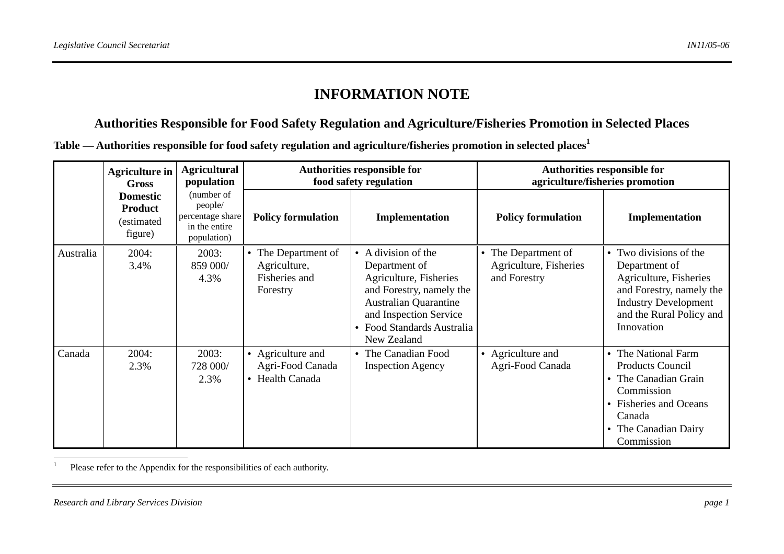# **INFORMATION NOTE**

## **Authorities Responsible for Food Safety Regulation and Agriculture/Fisheries Promotion in Selected Places**

**Table — Authorities responsible for food safety regulation and agriculture/fisheries promotion in selected places<sup>1</sup>**

|           | <b>Agriculture in</b><br>Gross<br><b>Domestic</b><br><b>Product</b><br>(estimated<br>figure) | <b>Agricultural</b><br>population<br>(number of<br>people/<br>percentage share<br>in the entire<br>population) | <b>Authorities responsible for</b><br>food safety regulation   |                                                                                                                                                                                                            | <b>Authorities responsible for</b><br>agriculture/fisheries promotion |                                                                                                                                                                                    |
|-----------|----------------------------------------------------------------------------------------------|----------------------------------------------------------------------------------------------------------------|----------------------------------------------------------------|------------------------------------------------------------------------------------------------------------------------------------------------------------------------------------------------------------|-----------------------------------------------------------------------|------------------------------------------------------------------------------------------------------------------------------------------------------------------------------------|
|           |                                                                                              |                                                                                                                | <b>Policy formulation</b>                                      | Implementation                                                                                                                                                                                             | <b>Policy formulation</b>                                             | Implementation                                                                                                                                                                     |
| Australia | 2004:<br>3.4%                                                                                | 2003:<br>859 000/<br>4.3%                                                                                      | The Department of<br>Agriculture,<br>Fisheries and<br>Forestry | A division of the<br>$\bullet$<br>Department of<br>Agriculture, Fisheries<br>and Forestry, namely the<br><b>Australian Quarantine</b><br>and Inspection Service<br>Food Standards Australia<br>New Zealand | The Department of<br>Agriculture, Fisheries<br>and Forestry           | Two divisions of the<br>$\bullet$<br>Department of<br>Agriculture, Fisheries<br>and Forestry, namely the<br><b>Industry Development</b><br>and the Rural Policy and<br>Innovation  |
| Canada    | 2004:<br>2.3%                                                                                | 2003:<br>728 000/<br>2.3%                                                                                      | • Agriculture and<br>Agri-Food Canada<br>• Health Canada       | • The Canadian Food<br><b>Inspection Agency</b>                                                                                                                                                            | • Agriculture and<br>Agri-Food Canada                                 | The National Farm<br>$\bullet$<br><b>Products Council</b><br>The Canadian Grain<br>$\bullet$<br>Commission<br>• Fisheries and Oceans<br>Canada<br>The Canadian Dairy<br>Commission |

<sup>1</sup> Please refer to the Appendix for the responsibilities of each authority.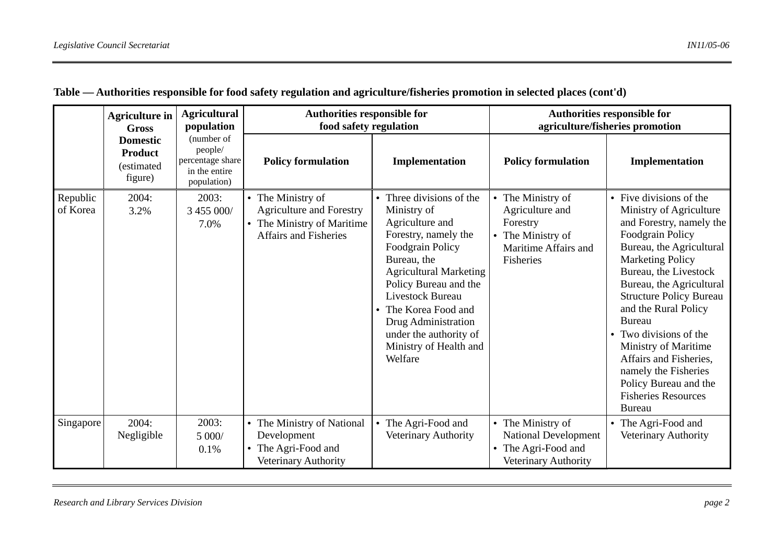|                      | <b>Agriculture in</b><br><b>Gross</b>                      | <b>Agricultural</b><br>population<br>(number of<br>people/<br>percentage share<br>in the entire<br>population) | Authorities responsible for<br>food safety regulation                                                              |                                                                                                                                                                                                                                                                                                                             | <b>Authorities responsible for</b><br>agriculture/fisheries promotion                                  |                                                                                                                                                                                                                                                                                                                                                                                                                                                                     |
|----------------------|------------------------------------------------------------|----------------------------------------------------------------------------------------------------------------|--------------------------------------------------------------------------------------------------------------------|-----------------------------------------------------------------------------------------------------------------------------------------------------------------------------------------------------------------------------------------------------------------------------------------------------------------------------|--------------------------------------------------------------------------------------------------------|---------------------------------------------------------------------------------------------------------------------------------------------------------------------------------------------------------------------------------------------------------------------------------------------------------------------------------------------------------------------------------------------------------------------------------------------------------------------|
|                      | <b>Domestic</b><br><b>Product</b><br>(estimated<br>figure) |                                                                                                                | <b>Policy formulation</b>                                                                                          | Implementation                                                                                                                                                                                                                                                                                                              | <b>Policy formulation</b>                                                                              | Implementation                                                                                                                                                                                                                                                                                                                                                                                                                                                      |
| Republic<br>of Korea | 2004:<br>3.2%                                              | 2003:<br>3 455 000/<br>7.0%                                                                                    | • The Ministry of<br><b>Agriculture and Forestry</b><br>• The Ministry of Maritime<br><b>Affairs and Fisheries</b> | Three divisions of the<br>Ministry of<br>Agriculture and<br>Forestry, namely the<br><b>Foodgrain Policy</b><br>Bureau, the<br><b>Agricultural Marketing</b><br>Policy Bureau and the<br><b>Livestock Bureau</b><br>The Korea Food and<br>Drug Administration<br>under the authority of<br>Ministry of Health and<br>Welfare | The Ministry of<br>Agriculture and<br>Forestry<br>The Ministry of<br>Maritime Affairs and<br>Fisheries | • Five divisions of the<br>Ministry of Agriculture<br>and Forestry, namely the<br>Foodgrain Policy<br>Bureau, the Agricultural<br><b>Marketing Policy</b><br>Bureau, the Livestock<br>Bureau, the Agricultural<br><b>Structure Policy Bureau</b><br>and the Rural Policy<br><b>Bureau</b><br>Two divisions of the<br>Ministry of Maritime<br>Affairs and Fisheries,<br>namely the Fisheries<br>Policy Bureau and the<br><b>Fisheries Resources</b><br><b>Bureau</b> |
| Singapore            | 2004:<br>Negligible                                        | 2003:<br>5 000/<br>0.1%                                                                                        | The Ministry of National<br>Development<br>The Agri-Food and<br>Veterinary Authority                               | The Agri-Food and<br>Veterinary Authority                                                                                                                                                                                                                                                                                   | • The Ministry of<br><b>National Development</b><br>The Agri-Food and<br>Veterinary Authority          | • The Agri-Food and<br>Veterinary Authority                                                                                                                                                                                                                                                                                                                                                                                                                         |

## **Table — Authorities responsible for food safety regulation and agriculture/fisheries promotion in selected places (cont'd)**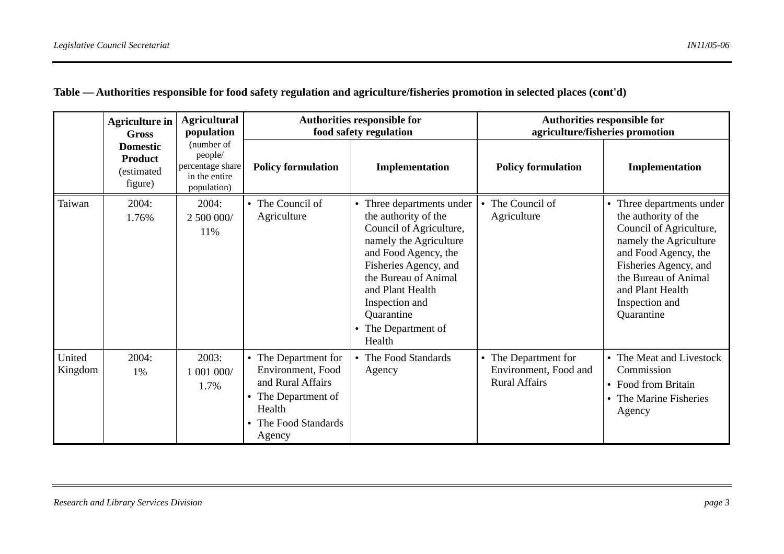|                   | <b>Agriculture in</b><br><b>Gross</b><br><b>Domestic</b><br><b>Product</b><br>(estimated<br>figure) | <b>Agricultural</b><br>population<br>(number of<br>people/<br>percentage share<br>in the entire<br>population) | <b>Authorities responsible for</b><br>food safety regulation                                                                                            |                                                                                                                                                                                                                                                                    | <b>Authorities responsible for</b><br>agriculture/fisheries promotion |                                                                                                                                                                                                                                     |
|-------------------|-----------------------------------------------------------------------------------------------------|----------------------------------------------------------------------------------------------------------------|---------------------------------------------------------------------------------------------------------------------------------------------------------|--------------------------------------------------------------------------------------------------------------------------------------------------------------------------------------------------------------------------------------------------------------------|-----------------------------------------------------------------------|-------------------------------------------------------------------------------------------------------------------------------------------------------------------------------------------------------------------------------------|
|                   |                                                                                                     |                                                                                                                | <b>Policy formulation</b>                                                                                                                               | Implementation                                                                                                                                                                                                                                                     | <b>Policy formulation</b>                                             | Implementation                                                                                                                                                                                                                      |
| Taiwan            | 2004:<br>1.76%                                                                                      | 2004:<br>2 500 000/<br>11%                                                                                     | The Council of<br>Agriculture                                                                                                                           | • Three departments under<br>the authority of the<br>Council of Agriculture,<br>namely the Agriculture<br>and Food Agency, the<br>Fisheries Agency, and<br>the Bureau of Animal<br>and Plant Health<br>Inspection and<br>Quarantine<br>The Department of<br>Health | The Council of<br>Agriculture                                         | • Three departments under<br>the authority of the<br>Council of Agriculture,<br>namely the Agriculture<br>and Food Agency, the<br>Fisheries Agency, and<br>the Bureau of Animal<br>and Plant Health<br>Inspection and<br>Quarantine |
| United<br>Kingdom | 2004:<br>1%                                                                                         | 2003:<br>1 001 000/<br>1.7%                                                                                    | • The Department for<br>Environment, Food<br>and Rural Affairs<br>The Department of<br>$\bullet$<br>Health<br>The Food Standards<br>$\bullet$<br>Agency | The Food Standards<br>Agency                                                                                                                                                                                                                                       | • The Department for<br>Environment, Food and<br><b>Rural Affairs</b> | The Meat and Livestock<br>Commission<br>Food from Britain<br>$\bullet$<br>The Marine Fisheries<br>$\bullet$<br>Agency                                                                                                               |

## **Table — Authorities responsible for food safety regulation and agriculture/fisheries promotion in selected places (cont'd)**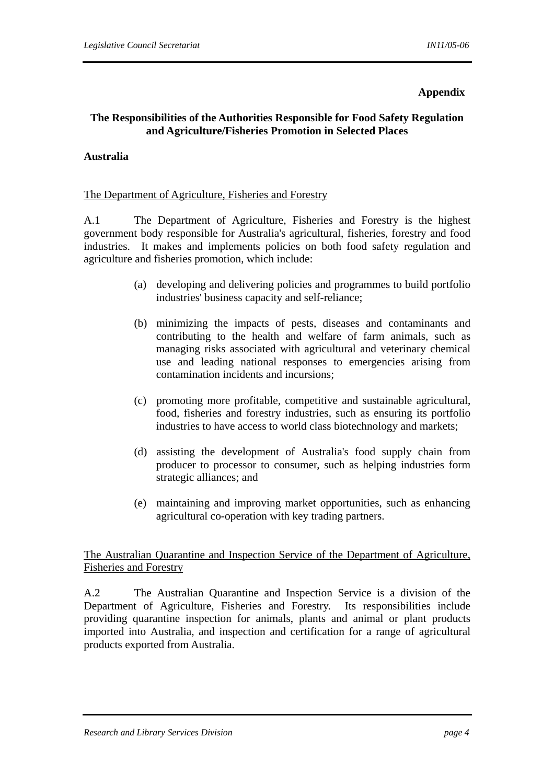#### **Appendix**

## **The Responsibilities of the Authorities Responsible for Food Safety Regulation and Agriculture/Fisheries Promotion in Selected Places**

## **Australia**

#### The Department of Agriculture, Fisheries and Forestry

A.1 The Department of Agriculture, Fisheries and Forestry is the highest government body responsible for Australia's agricultural, fisheries, forestry and food industries. It makes and implements policies on both food safety regulation and agriculture and fisheries promotion, which include:

- (a) developing and delivering policies and programmes to build portfolio industries' business capacity and self-reliance;
- (b) minimizing the impacts of pests, diseases and contaminants and contributing to the health and welfare of farm animals, such as managing risks associated with agricultural and veterinary chemical use and leading national responses to emergencies arising from contamination incidents and incursions;
- (c) promoting more profitable, competitive and sustainable agricultural, food, fisheries and forestry industries, such as ensuring its portfolio industries to have access to world class biotechnology and markets;
- (d) assisting the development of Australia's food supply chain from producer to processor to consumer, such as helping industries form strategic alliances; and
- (e) maintaining and improving market opportunities, such as enhancing agricultural co-operation with key trading partners.

The Australian Quarantine and Inspection Service of the Department of Agriculture, Fisheries and Forestry

A.2 The Australian Quarantine and Inspection Service is a division of the Department of Agriculture, Fisheries and Forestry. Its responsibilities include providing quarantine inspection for animals, plants and animal or plant products imported into Australia, and inspection and certification for a range of agricultural products exported from Australia.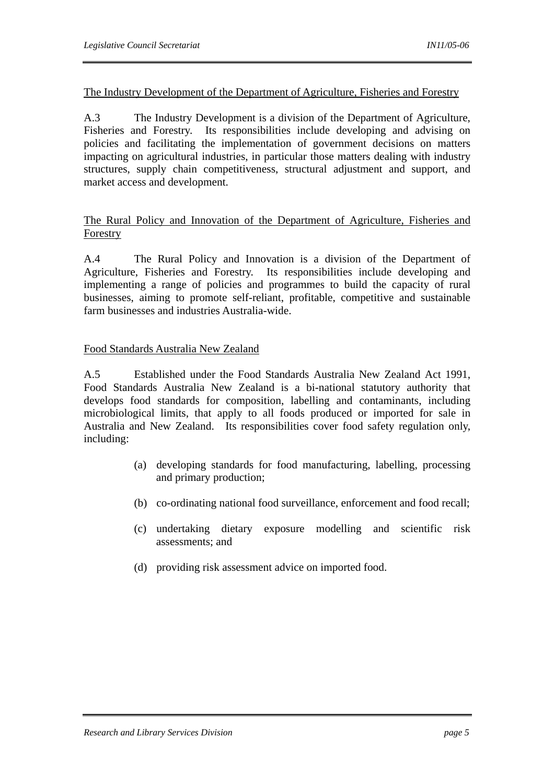## The Industry Development of the Department of Agriculture, Fisheries and Forestry

A.3 The Industry Development is a division of the Department of Agriculture, Fisheries and Forestry. Its responsibilities include developing and advising on policies and facilitating the implementation of government decisions on matters impacting on agricultural industries, in particular those matters dealing with industry structures, supply chain competitiveness, structural adjustment and support, and market access and development.

## The Rural Policy and Innovation of the Department of Agriculture, Fisheries and Forestry

A.4 The Rural Policy and Innovation is a division of the Department of Agriculture, Fisheries and Forestry. Its responsibilities include developing and implementing a range of policies and programmes to build the capacity of rural businesses, aiming to promote self-reliant, profitable, competitive and sustainable farm businesses and industries Australia-wide.

## Food Standards Australia New Zealand

A.5 Established under the Food Standards Australia New Zealand Act 1991, Food Standards Australia New Zealand is a bi-national statutory authority that develops food standards for composition, labelling and contaminants, including microbiological limits, that apply to all foods produced or imported for sale in Australia and New Zealand. Its responsibilities cover food safety regulation only, including:

- (a) developing standards for food manufacturing, labelling, processing and primary production;
- (b) co-ordinating national food surveillance, enforcement and food recall;
- (c) undertaking dietary exposure modelling and scientific risk assessments; and
- (d) providing risk assessment advice on imported food.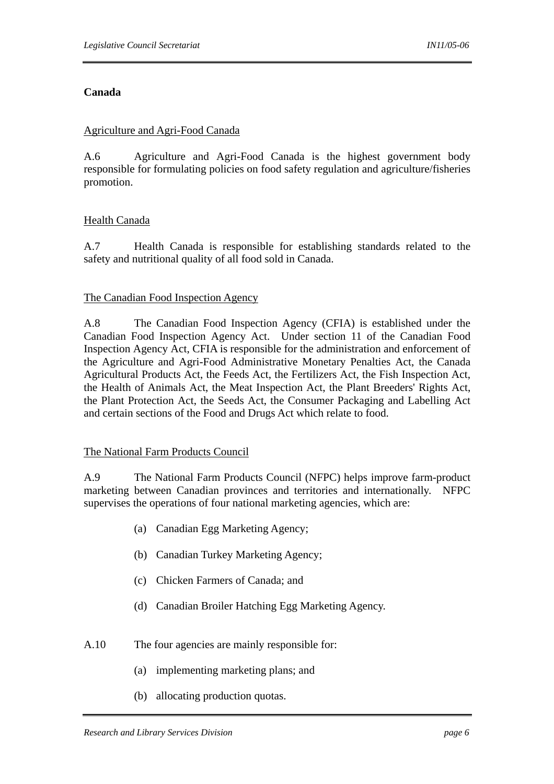## **Canada**

#### Agriculture and Agri-Food Canada

A.6 Agriculture and Agri-Food Canada is the highest government body responsible for formulating policies on food safety regulation and agriculture/fisheries promotion.

## Health Canada

A.7 Health Canada is responsible for establishing standards related to the safety and nutritional quality of all food sold in Canada.

#### The Canadian Food Inspection Agency

A.8 The Canadian Food Inspection Agency (CFIA) is established under the Canadian Food Inspection Agency Act. Under section 11 of the Canadian Food Inspection Agency Act, CFIA is responsible for the administration and enforcement of the Agriculture and Agri-Food Administrative Monetary Penalties Act, the Canada Agricultural Products Act, the Feeds Act, the Fertilizers Act, the Fish Inspection Act, the Health of Animals Act, the Meat Inspection Act, the Plant Breeders' Rights Act, the Plant Protection Act, the Seeds Act, the Consumer Packaging and Labelling Act and certain sections of the Food and Drugs Act which relate to food.

## The National Farm Products Council

A.9 The National Farm Products Council (NFPC) helps improve farm-product marketing between Canadian provinces and territories and internationally. NFPC supervises the operations of four national marketing agencies, which are:

- (a) Canadian Egg Marketing Agency;
- (b) Canadian Turkey Marketing Agency;
- (c) Chicken Farmers of Canada; and
- (d) Canadian Broiler Hatching Egg Marketing Agency.
- A.10 The four agencies are mainly responsible for:
	- (a) implementing marketing plans; and
	- (b) allocating production quotas.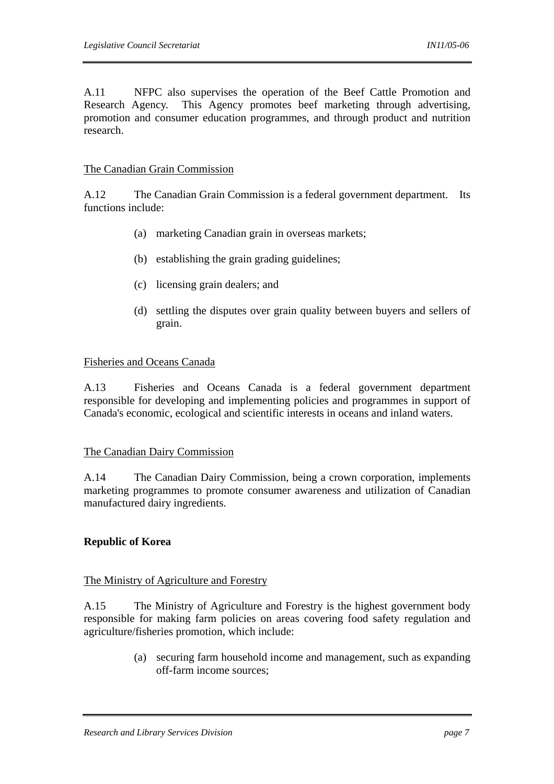A.11 NFPC also supervises the operation of the Beef Cattle Promotion and Research Agency. This Agency promotes beef marketing through advertising, promotion and consumer education programmes, and through product and nutrition research.

#### The Canadian Grain Commission

A.12 The Canadian Grain Commission is a federal government department. Its functions include:

- (a) marketing Canadian grain in overseas markets;
- (b) establishing the grain grading guidelines;
- (c) licensing grain dealers; and
- (d) settling the disputes over grain quality between buyers and sellers of grain.

#### Fisheries and Oceans Canada

A.13 Fisheries and Oceans Canada is a federal government department responsible for developing and implementing policies and programmes in support of Canada's economic, ecological and scientific interests in oceans and inland waters.

## The Canadian Dairy Commission

A.14 The Canadian Dairy Commission, being a crown corporation, implements marketing programmes to promote consumer awareness and utilization of Canadian manufactured dairy ingredients.

## **Republic of Korea**

#### The Ministry of Agriculture and Forestry

A.15 The Ministry of Agriculture and Forestry is the highest government body responsible for making farm policies on areas covering food safety regulation and agriculture/fisheries promotion, which include:

> (a) securing farm household income and management, such as expanding off-farm income sources;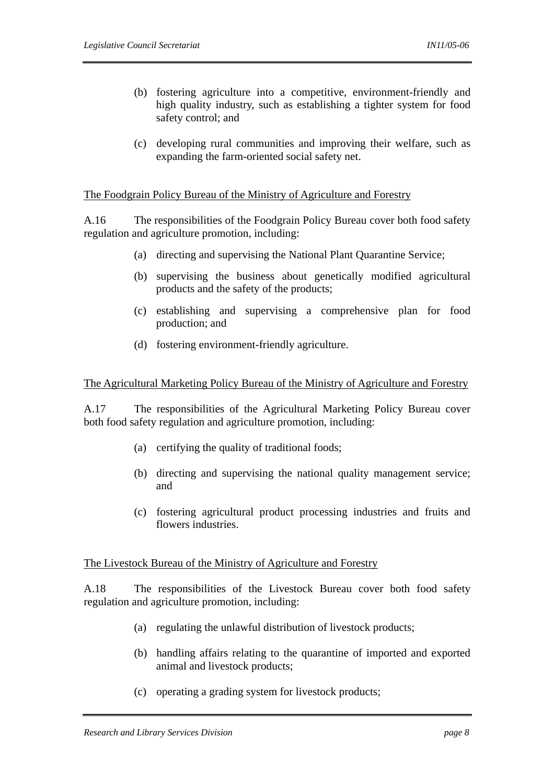- (b) fostering agriculture into a competitive, environment-friendly and high quality industry, such as establishing a tighter system for food safety control; and
- (c) developing rural communities and improving their welfare, such as expanding the farm-oriented social safety net.

## The Foodgrain Policy Bureau of the Ministry of Agriculture and Forestry

A.16 The responsibilities of the Foodgrain Policy Bureau cover both food safety regulation and agriculture promotion, including:

- (a) directing and supervising the National Plant Quarantine Service;
- (b) supervising the business about genetically modified agricultural products and the safety of the products;
- (c) establishing and supervising a comprehensive plan for food production; and
- (d) fostering environment-friendly agriculture.

#### The Agricultural Marketing Policy Bureau of the Ministry of Agriculture and Forestry

A.17 The responsibilities of the Agricultural Marketing Policy Bureau cover both food safety regulation and agriculture promotion, including:

- (a) certifying the quality of traditional foods;
- (b) directing and supervising the national quality management service; and
- (c) fostering agricultural product processing industries and fruits and flowers industries.

#### The Livestock Bureau of the Ministry of Agriculture and Forestry

A.18 The responsibilities of the Livestock Bureau cover both food safety regulation and agriculture promotion, including:

- (a) regulating the unlawful distribution of livestock products;
- (b) handling affairs relating to the quarantine of imported and exported animal and livestock products;
- (c) operating a grading system for livestock products;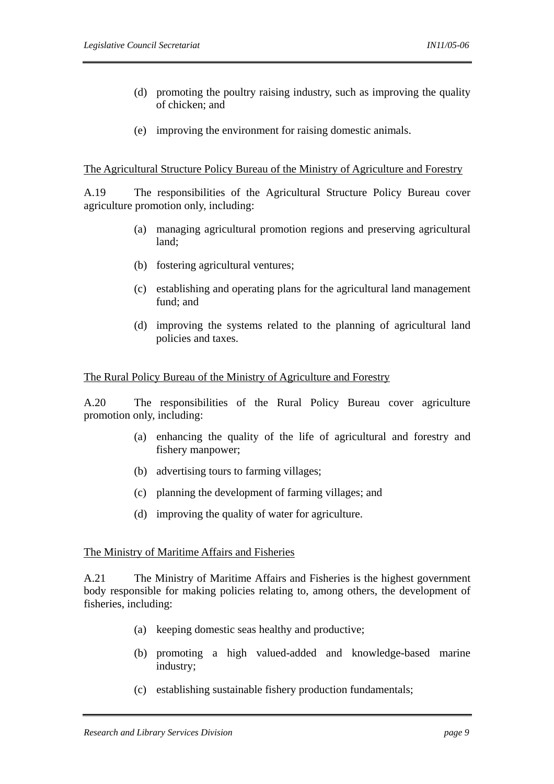- (d) promoting the poultry raising industry, such as improving the quality of chicken; and
- (e) improving the environment for raising domestic animals.

#### The Agricultural Structure Policy Bureau of the Ministry of Agriculture and Forestry

A.19 The responsibilities of the Agricultural Structure Policy Bureau cover agriculture promotion only, including:

- (a) managing agricultural promotion regions and preserving agricultural land;
- (b) fostering agricultural ventures;
- (c) establishing and operating plans for the agricultural land management fund; and
- (d) improving the systems related to the planning of agricultural land policies and taxes.

## The Rural Policy Bureau of the Ministry of Agriculture and Forestry

A.20 The responsibilities of the Rural Policy Bureau cover agriculture promotion only, including:

- (a) enhancing the quality of the life of agricultural and forestry and fishery manpower;
- (b) advertising tours to farming villages;
- (c) planning the development of farming villages; and
- (d) improving the quality of water for agriculture.

## The Ministry of Maritime Affairs and Fisheries

A.21 The Ministry of Maritime Affairs and Fisheries is the highest government body responsible for making policies relating to, among others, the development of fisheries, including:

- (a) keeping domestic seas healthy and productive;
- (b) promoting a high valued-added and knowledge-based marine industry;
- (c) establishing sustainable fishery production fundamentals;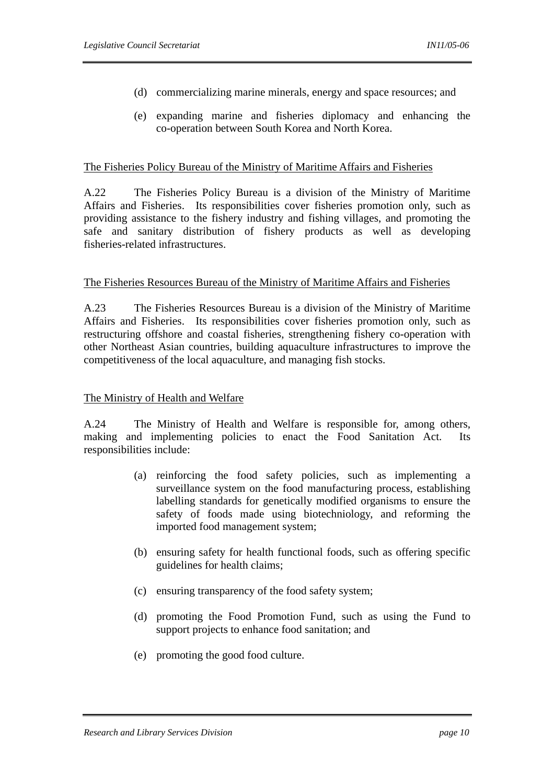- (d) commercializing marine minerals, energy and space resources; and
- (e) expanding marine and fisheries diplomacy and enhancing the co-operation between South Korea and North Korea.

## The Fisheries Policy Bureau of the Ministry of Maritime Affairs and Fisheries

A.22 The Fisheries Policy Bureau is a division of the Ministry of Maritime Affairs and Fisheries. Its responsibilities cover fisheries promotion only, such as providing assistance to the fishery industry and fishing villages, and promoting the safe and sanitary distribution of fishery products as well as developing fisheries-related infrastructures.

#### The Fisheries Resources Bureau of the Ministry of Maritime Affairs and Fisheries

A.23 The Fisheries Resources Bureau is a division of the Ministry of Maritime Affairs and Fisheries. Its responsibilities cover fisheries promotion only, such as restructuring offshore and coastal fisheries, strengthening fishery co-operation with other Northeast Asian countries, building aquaculture infrastructures to improve the competitiveness of the local aquaculture, and managing fish stocks.

## The Ministry of Health and Welfare

A.24 The Ministry of Health and Welfare is responsible for, among others, making and implementing policies to enact the Food Sanitation Act. Its responsibilities include:

- (a) reinforcing the food safety policies, such as implementing a surveillance system on the food manufacturing process, establishing labelling standards for genetically modified organisms to ensure the safety of foods made using biotechniology, and reforming the imported food management system;
- (b) ensuring safety for health functional foods, such as offering specific guidelines for health claims;
- (c) ensuring transparency of the food safety system;
- (d) promoting the Food Promotion Fund, such as using the Fund to support projects to enhance food sanitation; and
- (e) promoting the good food culture.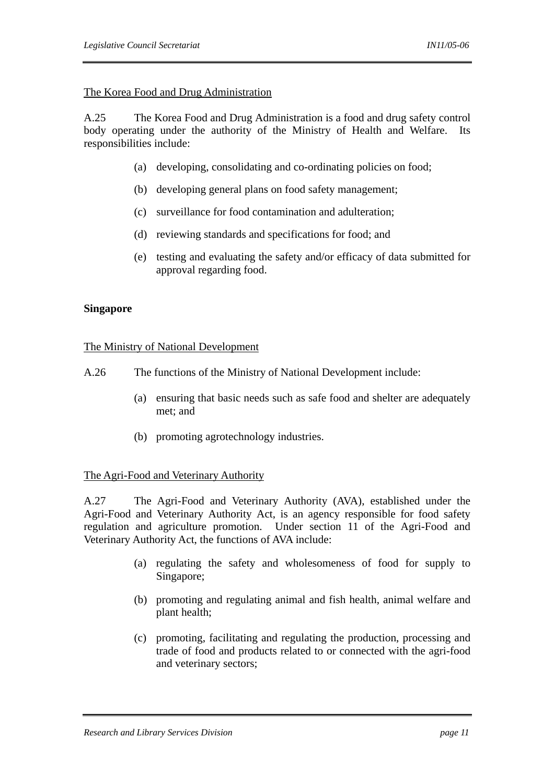## The Korea Food and Drug Administration

A.25 The Korea Food and Drug Administration is a food and drug safety control body operating under the authority of the Ministry of Health and Welfare. Its responsibilities include:

- (a) developing, consolidating and co-ordinating policies on food;
- (b) developing general plans on food safety management;
- (c) surveillance for food contamination and adulteration;
- (d) reviewing standards and specifications for food; and
- (e) testing and evaluating the safety and/or efficacy of data submitted for approval regarding food.

## **Singapore**

## The Ministry of National Development

- A.26 The functions of the Ministry of National Development include:
	- (a) ensuring that basic needs such as safe food and shelter are adequately met; and
	- (b) promoting agrotechnology industries.

## The Agri-Food and Veterinary Authority

A.27 The Agri-Food and Veterinary Authority (AVA), established under the Agri-Food and Veterinary Authority Act, is an agency responsible for food safety regulation and agriculture promotion. Under section 11 of the Agri-Food and Veterinary Authority Act, the functions of AVA include:

- (a) regulating the safety and wholesomeness of food for supply to Singapore;
- (b) promoting and regulating animal and fish health, animal welfare and plant health;
- (c) promoting, facilitating and regulating the production, processing and trade of food and products related to or connected with the agri-food and veterinary sectors;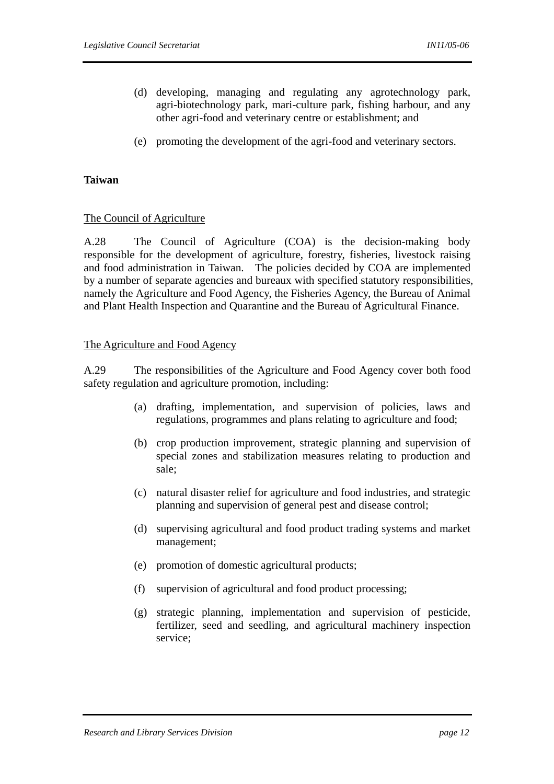- (d) developing, managing and regulating any agrotechnology park, agri-biotechnology park, mari-culture park, fishing harbour, and any other agri-food and veterinary centre or establishment; and
- (e) promoting the development of the agri-food and veterinary sectors.

## **Taiwan**

## The Council of Agriculture

A.28 The Council of Agriculture (COA) is the decision-making body responsible for the development of agriculture, forestry, fisheries, livestock raising and food administration in Taiwan. The policies decided by COA are implemented by a number of separate agencies and bureaux with specified statutory responsibilities, namely the Agriculture and Food Agency, the Fisheries Agency, the Bureau of Animal and Plant Health Inspection and Quarantine and the Bureau of Agricultural Finance.

## The Agriculture and Food Agency

A.29 The responsibilities of the Agriculture and Food Agency cover both food safety regulation and agriculture promotion, including:

- (a) drafting, implementation, and supervision of policies, laws and regulations, programmes and plans relating to agriculture and food;
- (b) crop production improvement, strategic planning and supervision of special zones and stabilization measures relating to production and sale;
- (c) natural disaster relief for agriculture and food industries, and strategic planning and supervision of general pest and disease control;
- (d) supervising agricultural and food product trading systems and market management;
- (e) promotion of domestic agricultural products;
- (f) supervision of agricultural and food product processing;
- (g) strategic planning, implementation and supervision of pesticide, fertilizer, seed and seedling, and agricultural machinery inspection service;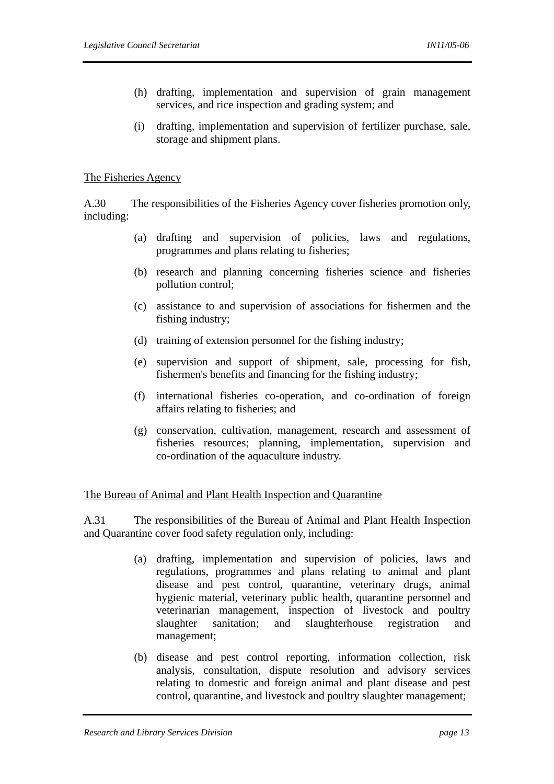- (h) drafting, implementation and supervision of grain management services, and rice inspection and grading system; and
- (i) drafting, implementation and supervision of fertilizer purchase, sale, storage and shipment plans.

## The Fisheries Agency

A.30 The responsibilities of the Fisheries Agency cover fisheries promotion only, including:

- (a) drafting and supervision of policies, laws and regulations, programmes and plans relating to fisheries;
- (b) research and planning concerning fisheries science and fisheries pollution control;
- (c) assistance to and supervision of associations for fishermen and the fishing industry;
- (d) training of extension personnel for the fishing industry;
- (e) supervision and support of shipment, sale, processing for fish, fishermen's benefits and financing for the fishing industry;
- (f) international fisheries co-operation, and co-ordination of foreign affairs relating to fisheries; and
- (g) conservation, cultivation, management, research and assessment of fisheries resources; planning, implementation, supervision and co-ordination of the aquaculture industry.

## The Bureau of Animal and Plant Health Inspection and Quarantine

A.31 The responsibilities of the Bureau of Animal and Plant Health Inspection and Quarantine cover food safety regulation only, including:

- (a) drafting, implementation and supervision of policies, laws and regulations, programmes and plans relating to animal and plant disease and pest control, quarantine, veterinary drugs, animal hygienic material, veterinary public health, quarantine personnel and veterinarian management, inspection of livestock and poultry slaughter sanitation; and slaughterhouse registration and management;
- (b) disease and pest control reporting, information collection, risk analysis, consultation, dispute resolution and advisory services relating to domestic and foreign animal and plant disease and pest control, quarantine, and livestock and poultry slaughter management;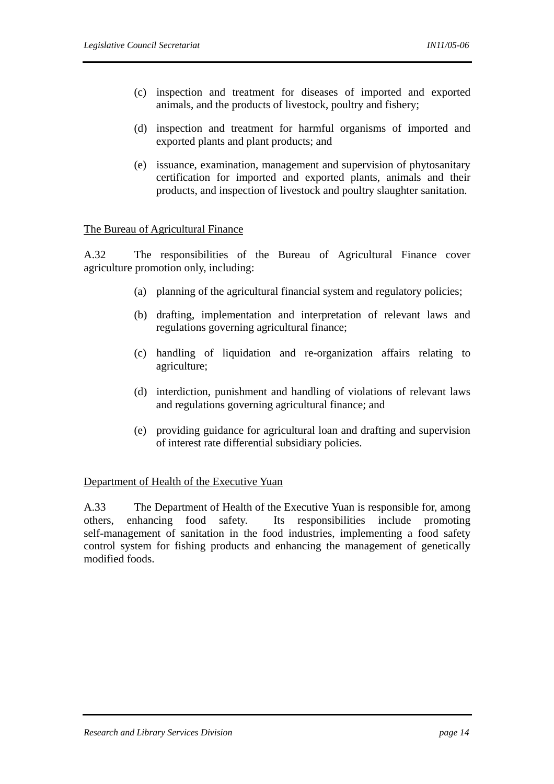- (c) inspection and treatment for diseases of imported and exported animals, and the products of livestock, poultry and fishery;
- (d) inspection and treatment for harmful organisms of imported and exported plants and plant products; and
- (e) issuance, examination, management and supervision of phytosanitary certification for imported and exported plants, animals and their products, and inspection of livestock and poultry slaughter sanitation.

## The Bureau of Agricultural Finance

A.32 The responsibilities of the Bureau of Agricultural Finance cover agriculture promotion only, including:

- (a) planning of the agricultural financial system and regulatory policies;
- (b) drafting, implementation and interpretation of relevant laws and regulations governing agricultural finance;
- (c) handling of liquidation and re-organization affairs relating to agriculture;
- (d) interdiction, punishment and handling of violations of relevant laws and regulations governing agricultural finance; and
- (e) providing guidance for agricultural loan and drafting and supervision of interest rate differential subsidiary policies.

## Department of Health of the Executive Yuan

A.33 The Department of Health of the Executive Yuan is responsible for, among others, enhancing food safety. Its responsibilities include promoting self-management of sanitation in the food industries, implementing a food safety control system for fishing products and enhancing the management of genetically modified foods.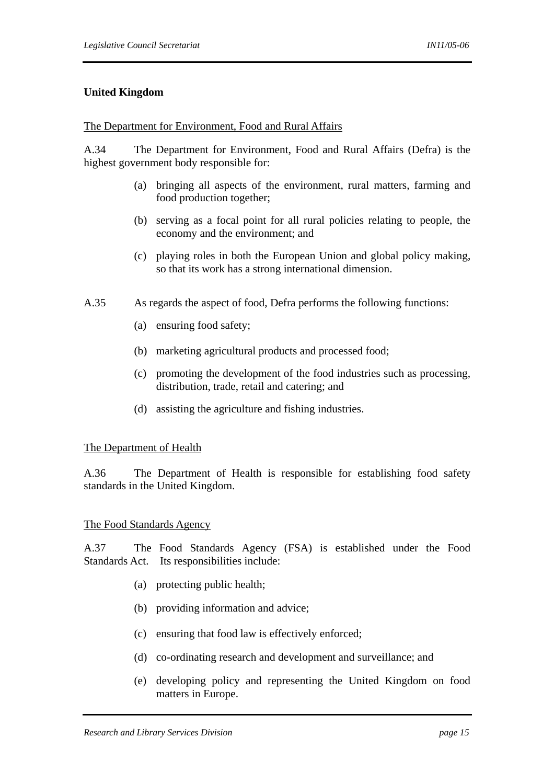## **United Kingdom**

#### The Department for Environment, Food and Rural Affairs

A.34 The Department for Environment, Food and Rural Affairs (Defra) is the highest government body responsible for:

- (a) bringing all aspects of the environment, rural matters, farming and food production together;
- (b) serving as a focal point for all rural policies relating to people, the economy and the environment; and
- (c) playing roles in both the European Union and global policy making, so that its work has a strong international dimension.
- A.35 As regards the aspect of food, Defra performs the following functions:
	- (a) ensuring food safety;
	- (b) marketing agricultural products and processed food;
	- (c) promoting the development of the food industries such as processing, distribution, trade, retail and catering; and
	- (d) assisting the agriculture and fishing industries.

#### The Department of Health

A.36 The Department of Health is responsible for establishing food safety standards in the United Kingdom.

#### The Food Standards Agency

A.37 The Food Standards Agency (FSA) is established under the Food Standards Act. Its responsibilities include:

- (a) protecting public health;
- (b) providing information and advice;
- (c) ensuring that food law is effectively enforced;
- (d) co-ordinating research and development and surveillance; and
- (e) developing policy and representing the United Kingdom on food matters in Europe.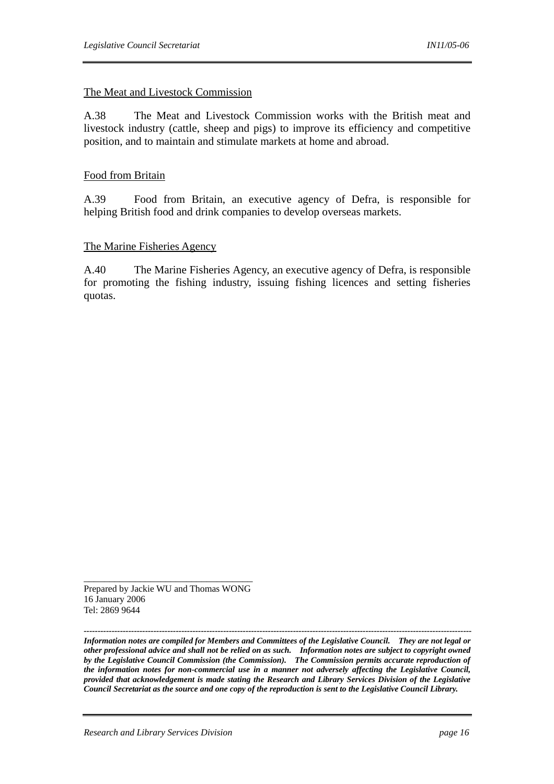#### The Meat and Livestock Commission

A.38 The Meat and Livestock Commission works with the British meat and livestock industry (cattle, sheep and pigs) to improve its efficiency and competitive position, and to maintain and stimulate markets at home and abroad.

#### Food from Britain

A.39 Food from Britain, an executive agency of Defra, is responsible for helping British food and drink companies to develop overseas markets.

#### The Marine Fisheries Agency

A.40 The Marine Fisheries Agency, an executive agency of Defra, is responsible for promoting the fishing industry, issuing fishing licences and setting fisheries quotas.

Prepared by Jackie WU and Thomas WONG 16 January 2006 Tel: 2869 9644

\_\_\_\_\_\_\_\_\_\_\_\_\_\_\_\_\_\_\_\_\_\_\_\_\_\_\_\_\_\_\_\_\_

*------------------------------------------------------------------------------------------------------------------------------------------- Information notes are compiled for Members and Committees of the Legislative Council. They are not legal or other professional advice and shall not be relied on as such. Information notes are subject to copyright owned by the Legislative Council Commission (the Commission). The Commission permits accurate reproduction of the information notes for non-commercial use in a manner not adversely affecting the Legislative Council, provided that acknowledgement is made stating the Research and Library Services Division of the Legislative Council Secretariat as the source and one copy of the reproduction is sent to the Legislative Council Library.*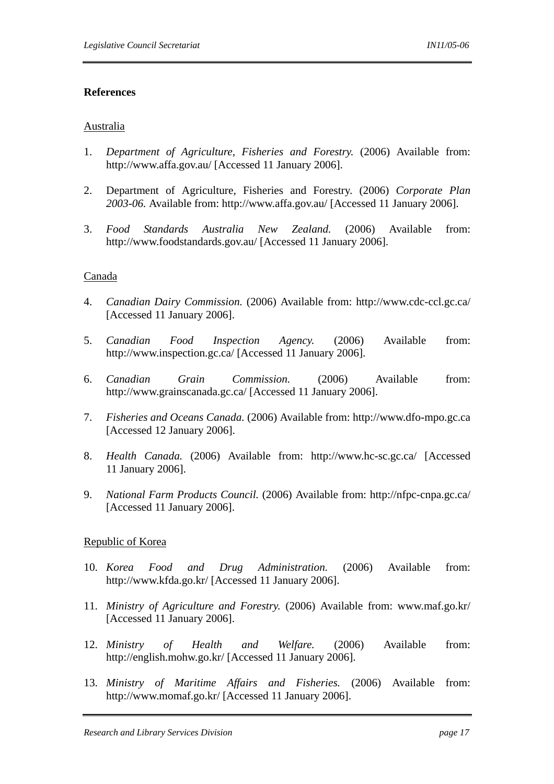#### **References**

#### Australia

- 1. *Department of Agriculture, Fisheries and Forestry.* (2006) Available from: http://www.affa.gov.au/ [Accessed 11 January 2006].
- 2. Department of Agriculture, Fisheries and Forestry. (2006) *Corporate Plan 2003-06.* Available from: http://www.affa.gov.au/ [Accessed 11 January 2006].
- 3. *Food Standards Australia New Zealand.* (2006) Available from: http://www.foodstandards.gov.au/ [Accessed 11 January 2006].

#### Canada

- 4. *Canadian Dairy Commission.* (2006) Available from: http://www.cdc-ccl.gc.ca/ [Accessed 11 January 2006].
- 5. *Canadian Food Inspection Agency.* (2006) Available from: http://www.inspection.gc.ca/ [Accessed 11 January 2006].
- 6. *Canadian Grain Commission.* (2006) Available from: http://www.grainscanada.gc.ca/ [Accessed 11 January 2006].
- 7. *Fisheries and Oceans Canada.* (2006) Available from: http://www.dfo-mpo.gc.ca [Accessed 12 January 2006].
- 8. *Health Canada.* (2006) Available from: http://www.hc-sc.gc.ca/ [Accessed 11 January 2006].
- 9. *National Farm Products Council.* (2006) Available from: http://nfpc-cnpa.gc.ca/ [Accessed 11 January 2006].

## Republic of Korea

- 10. *Korea Food and Drug Administration.* (2006) Available from: http://www.kfda.go.kr/ [Accessed 11 January 2006].
- 11. *Ministry of Agriculture and Forestry.* (2006) Available from: www.maf.go.kr/ [Accessed 11 January 2006].
- 12. *Ministry of Health and Welfare.* (2006) Available from: http://english.mohw.go.kr/ [Accessed 11 January 2006].
- 13. *Ministry of Maritime Affairs and Fisheries.* (2006) Available from: http://www.momaf.go.kr/ [Accessed 11 January 2006].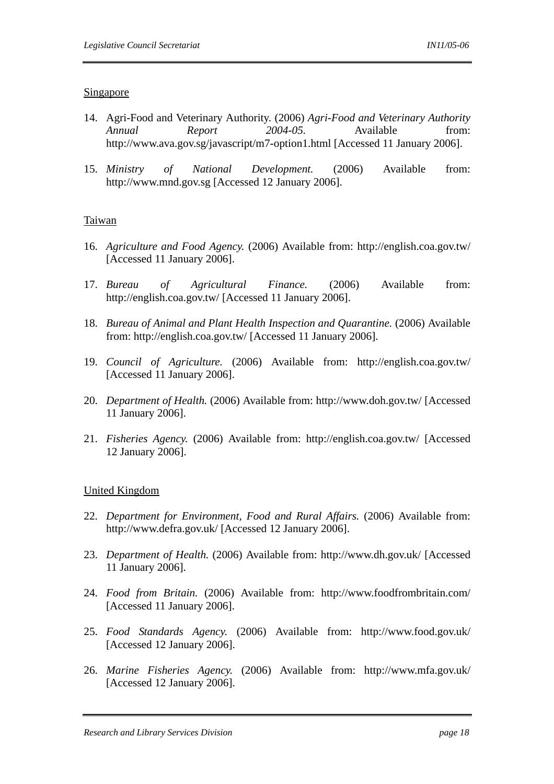#### Singapore

- 14. Agri-Food and Veterinary Authority. (2006) *Agri-Food and Veterinary Authority Annual Report 2004-05.* Available from: http://www.ava.gov.sg/javascript/m7-option1.html [Accessed 11 January 2006].
- 15. *Ministry of National Development.* (2006) Available from: http://www.mnd.gov.sg [Accessed 12 January 2006].

## Taiwan

- 16. *Agriculture and Food Agency.* (2006) Available from: http://english.coa.gov.tw/ [Accessed 11 January 2006].
- 17. *Bureau of Agricultural Finance.* (2006) Available from: http://english.coa.gov.tw/ [Accessed 11 January 2006].
- 18. *Bureau of Animal and Plant Health Inspection and Quarantine.* (2006) Available from: http://english.coa.gov.tw/ [Accessed 11 January 2006].
- 19. *Council of Agriculture.* (2006) Available from: http://english.coa.gov.tw/ [Accessed 11 January 2006].
- 20. *Department of Health.* (2006) Available from: http://www.doh.gov.tw/ [Accessed 11 January 2006].
- 21. *Fisheries Agency.* (2006) Available from: http://english.coa.gov.tw/ [Accessed 12 January 2006].

## United Kingdom

- 22. *Department for Environment, Food and Rural Affairs.* (2006) Available from: http://www.defra.gov.uk/ [Accessed 12 January 2006].
- 23. *Department of Health.* (2006) Available from: http://www.dh.gov.uk/ [Accessed 11 January 2006].
- 24. *Food from Britain.* (2006) Available from: http://www.foodfrombritain.com/ [Accessed 11 January 2006].
- 25. *Food Standards Agency.* (2006) Available from: http://www.food.gov.uk/ [Accessed 12 January 2006].
- 26. *Marine Fisheries Agency.* (2006) Available from: http://www.mfa.gov.uk/ [Accessed 12 January 2006].